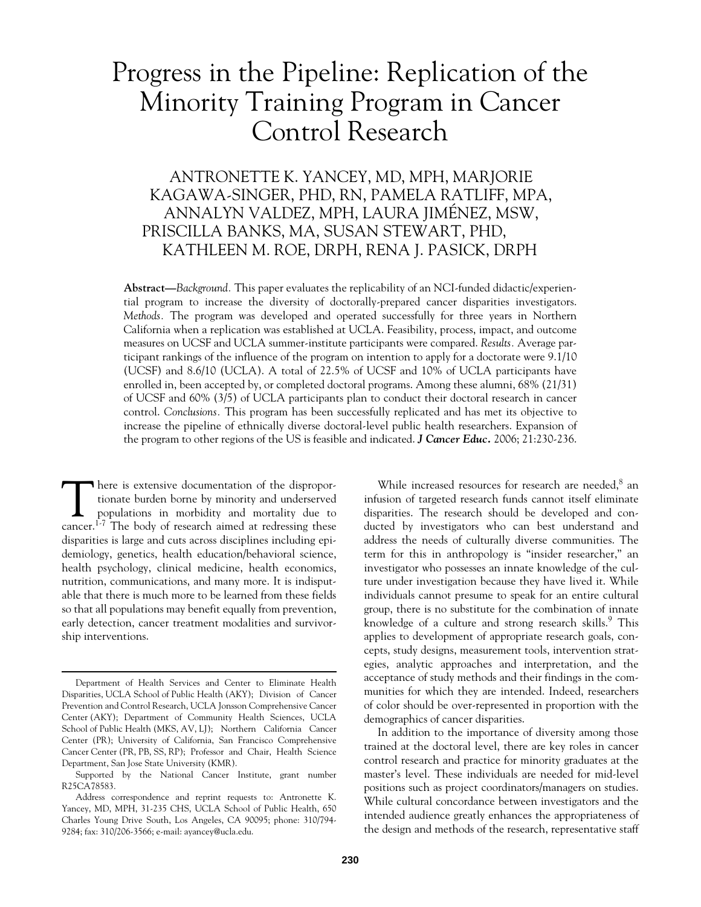# Progress in the Pipeline: Replication of the Minority Training Program in Cancer Control Research

# ANTRONETTE K. YANCEY, MD, MPH, MARJORIE KAGAWA-SINGER, PHD, RN, PAMELA RATLIFF, MPA, ANNALYN VALDEZ, MPH, LAURA JIMÉNEZ, MSW, PRISCILLA BANKS, MA, SUSAN STEWART, PHD, KATHLEEN M. ROE, DRPH, RENA J. PASICK, DRPH

**Abstract—***Background.* This paper evaluates the replicability of an NCI-funded didactic/experiential program to increase the diversity of doctorally-prepared cancer disparities investigators. *Methods.* The program was developed and operated successfully for three years in Northern California when a replication was established at UCLA. Feasibility, process, impact, and outcome measures on UCSF and UCLA summer-institute participants were compared. *Results.* Average participant rankings of the influence of the program on intention to apply for a doctorate were 9.1/10 (UCSF) and 8.6/10 (UCLA). A total of 22.5% of UCSF and 10% of UCLA participants have enrolled in, been accepted by, or completed doctoral programs. Among these alumni, 68% (21/31) of UCSF and 60% (3/5) of UCLA participants plan to conduct their doctoral research in cancer control. *Conclusions.* This program has been successfully replicated and has met its objective to increase the pipeline of ethnically diverse doctoral-level public health researchers. Expansion of the program to other regions of the US is feasible and indicated. *J Cancer Educ.* 2006; 21:230-236.

There is extensive documentation of the disproportionate burden borne by minority and underserved populations in morbidity and mortality due to There is extensive documentation of the disproportionate burden borne by minority and underserved populations in morbidity and mortality due to cancer.<sup>1-7</sup> The body of research aimed at redressing these disparities is large and cuts across disciplines including epidemiology, genetics, health education/behavioral science, health psychology, clinical medicine, health economics, nutrition, communications, and many more. It is indisputable that there is much more to be learned from these fields so that all populations may benefit equally from prevention, early detection, cancer treatment modalities and survivorship interventions.

While increased resources for research are needed,<sup>8</sup> an infusion of targeted research funds cannot itself eliminate disparities. The research should be developed and conducted by investigators who can best understand and address the needs of culturally diverse communities. The term for this in anthropology is "insider researcher," an investigator who possesses an innate knowledge of the culture under investigation because they have lived it. While individuals cannot presume to speak for an entire cultural group, there is no substitute for the combination of innate knowledge of a culture and strong research skills.<sup>9</sup> This applies to development of appropriate research goals, concepts, study designs, measurement tools, intervention strategies, analytic approaches and interpretation, and the acceptance of study methods and their findings in the communities for which they are intended. Indeed, researchers of color should be over-represented in proportion with the demographics of cancer disparities.

In addition to the importance of diversity among those trained at the doctoral level, there are key roles in cancer control research and practice for minority graduates at the master's level. These individuals are needed for mid-level positions such as project coordinators/managers on studies. While cultural concordance between investigators and the intended audience greatly enhances the appropriateness of the design and methods of the research, representative staff

Department of Health Services and Center to Eliminate Health Disparities, UCLA School of Public Health (AKY); Division of Cancer Prevention and Control Research, UCLA Jonsson Comprehensive Cancer Center (AKY); Department of Community Health Sciences, UCLA School of Public Health (MKS, AV, LJ); Northern California Cancer Center (PR); University of California, San Francisco Comprehensive Cancer Center (PR, PB, SS, RP); Professor and Chair, Health Science Department, San Jose State University (KMR).

Supported by the National Cancer Institute, grant number R25CA78583.

Address correspondence and reprint requests to: Antronette K. Yancey, MD, MPH, 31-235 CHS, UCLA School of Public Health, 650 Charles Young Drive South, Los Angeles, CA 90095; phone: 310/794- 9284; fax: 310/206-3566; e-mail: ayancey@ucla.edu.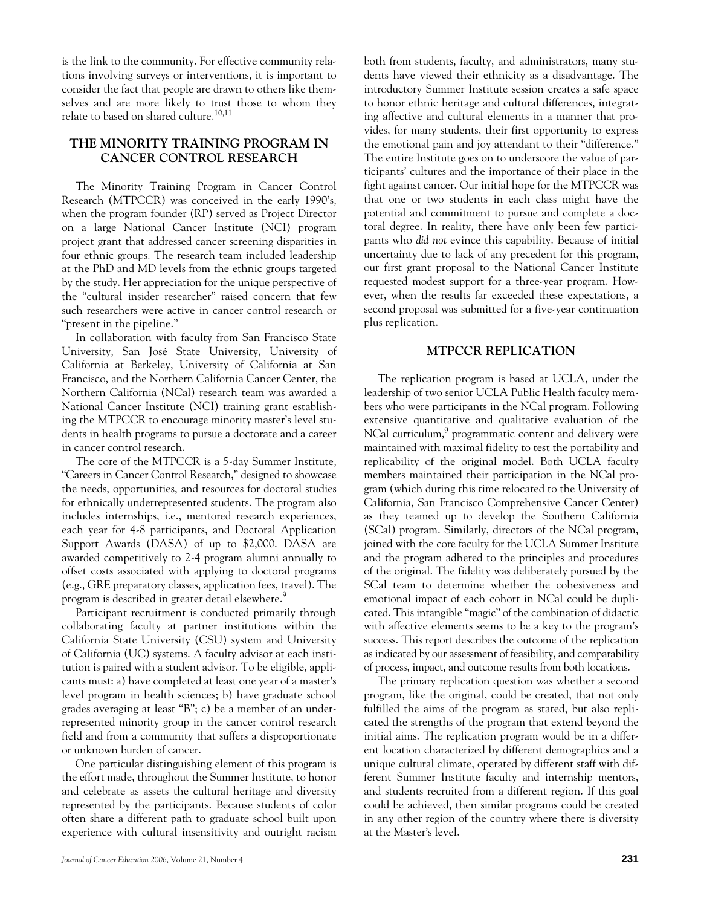is the link to the community. For effective community relations involving surveys or interventions, it is important to consider the fact that people are drawn to others like themselves and are more likely to trust those to whom they relate to based on shared culture.<sup>10,11</sup>

# **THE MINORITY TRAINING PROGRAM IN CANCER CONTROL RESEARCH**

The Minority Training Program in Cancer Control Research (MTPCCR) was conceived in the early 1990's, when the program founder (RP) served as Project Director on a large National Cancer Institute (NCI) program project grant that addressed cancer screening disparities in four ethnic groups. The research team included leadership at the PhD and MD levels from the ethnic groups targeted by the study. Her appreciation for the unique perspective of the "cultural insider researcher" raised concern that few such researchers were active in cancer control research or "present in the pipeline."

In collaboration with faculty from San Francisco State University, San José State University, University of California at Berkeley, University of California at San Francisco, and the Northern California Cancer Center, the Northern California (NCal) research team was awarded a National Cancer Institute (NCI) training grant establishing the MTPCCR to encourage minority master's level students in health programs to pursue a doctorate and a career in cancer control research.

The core of the MTPCCR is a 5-day Summer Institute, "Careers in Cancer Control Research," designed to showcase the needs, opportunities, and resources for doctoral studies for ethnically underrepresented students. The program also includes internships, i.e., mentored research experiences, each year for 4-8 participants, and Doctoral Application Support Awards (DASA) of up to \$2,000. DASA are awarded competitively to 2-4 program alumni annually to offset costs associated with applying to doctoral programs (e.g., GRE preparatory classes, application fees, travel). The program is described in greater detail elsewhere.<sup>9</sup>

Participant recruitment is conducted primarily through collaborating faculty at partner institutions within the California State University (CSU) system and University of California (UC) systems. A faculty advisor at each institution is paired with a student advisor. To be eligible, applicants must: a) have completed at least one year of a master's level program in health sciences; b) have graduate school grades averaging at least "B"; c) be a member of an underrepresented minority group in the cancer control research field and from a community that suffers a disproportionate or unknown burden of cancer.

One particular distinguishing element of this program is the effort made, throughout the Summer Institute, to honor and celebrate as assets the cultural heritage and diversity represented by the participants. Because students of color often share a different path to graduate school built upon experience with cultural insensitivity and outright racism both from students, faculty, and administrators, many students have viewed their ethnicity as a disadvantage. The introductory Summer Institute session creates a safe space to honor ethnic heritage and cultural differences, integrating affective and cultural elements in a manner that provides, for many students, their first opportunity to express the emotional pain and joy attendant to their "difference." The entire Institute goes on to underscore the value of participants' cultures and the importance of their place in the fight against cancer. Our initial hope for the MTPCCR was that one or two students in each class might have the potential and commitment to pursue and complete a doctoral degree. In reality, there have only been few participants who *did not* evince this capability. Because of initial uncertainty due to lack of any precedent for this program, our first grant proposal to the National Cancer Institute requested modest support for a three-year program. However, when the results far exceeded these expectations, a second proposal was submitted for a five-year continuation plus replication.

## **MTPCCR REPLICATION**

The replication program is based at UCLA, under the leadership of two senior UCLA Public Health faculty members who were participants in the NCal program. Following extensive quantitative and qualitative evaluation of the NCal curriculum, $^9$  programmatic content and delivery were maintained with maximal fidelity to test the portability and replicability of the original model. Both UCLA faculty members maintained their participation in the NCal program (which during this time relocated to the University of California, San Francisco Comprehensive Cancer Center) as they teamed up to develop the Southern California (SCal) program. Similarly, directors of the NCal program, joined with the core faculty for the UCLA Summer Institute and the program adhered to the principles and procedures of the original. The fidelity was deliberately pursued by the SCal team to determine whether the cohesiveness and emotional impact of each cohort in NCal could be duplicated. This intangible "magic" of the combination of didactic with affective elements seems to be a key to the program's success. This report describes the outcome of the replication as indicated by our assessment of feasibility, and comparability of process, impact, and outcome results from both locations.

The primary replication question was whether a second program, like the original, could be created, that not only fulfilled the aims of the program as stated, but also replicated the strengths of the program that extend beyond the initial aims. The replication program would be in a different location characterized by different demographics and a unique cultural climate, operated by different staff with different Summer Institute faculty and internship mentors, and students recruited from a different region. If this goal could be achieved, then similar programs could be created in any other region of the country where there is diversity at the Master's level.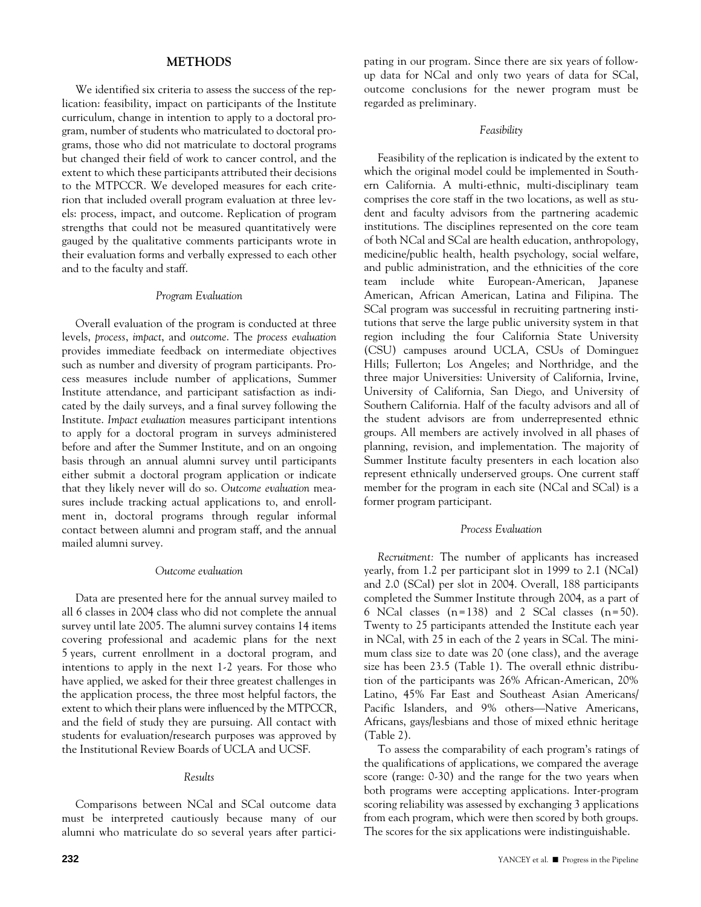#### **METHODS**

We identified six criteria to assess the success of the replication: feasibility, impact on participants of the Institute curriculum, change in intention to apply to a doctoral program, number of students who matriculated to doctoral programs, those who did not matriculate to doctoral programs but changed their field of work to cancer control, and the extent to which these participants attributed their decisions to the MTPCCR. We developed measures for each criterion that included overall program evaluation at three levels: process, impact, and outcome. Replication of program strengths that could not be measured quantitatively were gauged by the qualitative comments participants wrote in their evaluation forms and verbally expressed to each other and to the faculty and staff.

#### *Program Evaluation*

Overall evaluation of the program is conducted at three levels, *process*, *impact*, and *outcome*. The *process evaluation* provides immediate feedback on intermediate objectives such as number and diversity of program participants. Process measures include number of applications, Summer Institute attendance, and participant satisfaction as indicated by the daily surveys, and a final survey following the Institute. *Impact evaluation* measures participant intentions to apply for a doctoral program in surveys administered before and after the Summer Institute, and on an ongoing basis through an annual alumni survey until participants either submit a doctoral program application or indicate that they likely never will do so. *Outcome evaluation* measures include tracking actual applications to, and enrollment in, doctoral programs through regular informal contact between alumni and program staff, and the annual mailed alumni survey.

#### *Outcome evaluation*

Data are presented here for the annual survey mailed to all 6 classes in 2004 class who did not complete the annual survey until late 2005. The alumni survey contains 14 items covering professional and academic plans for the next 5 years, current enrollment in a doctoral program, and intentions to apply in the next 1-2 years. For those who have applied, we asked for their three greatest challenges in the application process, the three most helpful factors, the extent to which their plans were influenced by the MTPCCR, and the field of study they are pursuing. All contact with students for evaluation/research purposes was approved by the Institutional Review Boards of UCLA and UCSF.

#### *Results*

Comparisons between NCal and SCal outcome data must be interpreted cautiously because many of our alumni who matriculate do so several years after partici-

pating in our program. Since there are six years of followup data for NCal and only two years of data for SCal, outcome conclusions for the newer program must be regarded as preliminary.

#### *Feasibility*

Feasibility of the replication is indicated by the extent to which the original model could be implemented in Southern California. A multi-ethnic, multi-disciplinary team comprises the core staff in the two locations, as well as student and faculty advisors from the partnering academic institutions. The disciplines represented on the core team of both NCal and SCal are health education, anthropology, medicine/public health, health psychology, social welfare, and public administration, and the ethnicities of the core team include white European-American, Japanese American, African American, Latina and Filipina. The SCal program was successful in recruiting partnering institutions that serve the large public university system in that region including the four California State University (CSU) campuses around UCLA, CSUs of Dominguez Hills; Fullerton; Los Angeles; and Northridge, and the three major Universities: University of California, Irvine, University of California, San Diego, and University of Southern California. Half of the faculty advisors and all of the student advisors are from underrepresented ethnic groups. All members are actively involved in all phases of planning, revision, and implementation. The majority of Summer Institute faculty presenters in each location also represent ethnically underserved groups. One current staff member for the program in each site (NCal and SCal) is a former program participant.

#### *Process Evaluation*

*Recruitment:* The number of applicants has increased yearly, from 1.2 per participant slot in 1999 to 2.1 (NCal) and 2.0 (SCal) per slot in 2004. Overall, 188 participants completed the Summer Institute through 2004, as a part of 6 NCal classes  $(n=138)$  and 2 SCal classes  $(n=50)$ . Twenty to 25 participants attended the Institute each year in NCal, with 25 in each of the 2 years in SCal. The minimum class size to date was 20 (one class), and the average size has been 23.5 (Table 1). The overall ethnic distribution of the participants was 26% African-American, 20% Latino, 45% Far East and Southeast Asian Americans/ Pacific Islanders, and 9% others—Native Americans, Africans, gays/lesbians and those of mixed ethnic heritage (Table 2).

To assess the comparability of each program's ratings of the qualifications of applications, we compared the average score (range: 0-30) and the range for the two years when both programs were accepting applications. Inter-program scoring reliability was assessed by exchanging 3 applications from each program, which were then scored by both groups. The scores for the six applications were indistinguishable.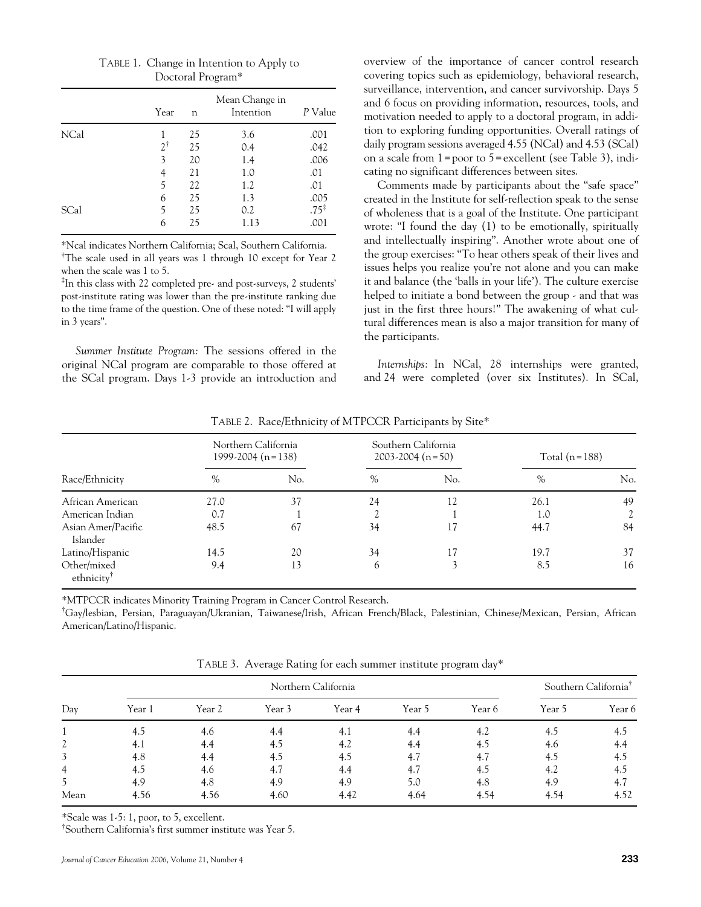|             | Year          | n  | Mean Change in<br>Intention | P Value |
|-------------|---------------|----|-----------------------------|---------|
| <b>NCal</b> |               | 25 | 3.6                         | .001    |
|             | $2^{\dagger}$ | 25 | 0.4                         | .042    |
|             | 3             | 20 | 1.4                         | .006    |
|             | 4             | 21 | 1.0                         | .01     |
|             | 5             | 22 | 1.2                         | .01     |
|             | 6             | 25 | 1.3                         | .005    |
| SCal        | 5             | 25 | 0.2                         | $.75*$  |
|             | 6             | 25 | 1.13                        | .001    |

TABLE 1. Change in Intention to Apply to Doctoral Program\*

\*Ncal indicates Northern California; Scal, Southern California. † The scale used in all years was 1 through 10 except for Year 2 when the scale was 1 to 5.

‡ In this class with 22 completed pre- and post-surveys, 2 students' post-institute rating was lower than the pre-institute ranking due to the time frame of the question. One of these noted: "I will apply in 3 years".

*Summer Institute Program:* The sessions offered in the original NCal program are comparable to those offered at the SCal program. Days 1-3 provide an introduction and overview of the importance of cancer control research covering topics such as epidemiology, behavioral research, surveillance, intervention, and cancer survivorship. Days 5 and 6 focus on providing information, resources, tools, and motivation needed to apply to a doctoral program, in addition to exploring funding opportunities. Overall ratings of daily program sessions averaged 4.55 (NCal) and 4.53 (SCal) on a scale from 1=poor to 5=excellent (see Table 3), indicating no significant differences between sites.

Comments made by participants about the "safe space" created in the Institute for self-reflection speak to the sense of wholeness that is a goal of the Institute. One participant wrote: "I found the day (1) to be emotionally, spiritually and intellectually inspiring". Another wrote about one of the group exercises: "To hear others speak of their lives and issues helps you realize you're not alone and you can make it and balance (the 'balls in your life'). The culture exercise helped to initiate a bond between the group - and that was just in the first three hours!" The awakening of what cultural differences mean is also a major transition for many of the participants.

*Internships:* In NCal, 28 internships were granted, and 24 were completed (over six Institutes). In SCal,

|                                | Northern California<br>$1999 - 2004$ (n=138) |     | Southern California<br>$2003 - 2004 (n = 50)$ |     | Total $(n=188)$ |                  |
|--------------------------------|----------------------------------------------|-----|-----------------------------------------------|-----|-----------------|------------------|
| Race/Ethnicity                 | $\%$                                         | No. | $\%$                                          | No. | $\%$            | N <sub>o</sub> . |
| African American               | 27.0                                         | 37  | 24                                            | 12  | 26.1            | 49               |
| American Indian                | 0.7                                          |     |                                               |     | 1.0             |                  |
| Asian Amer/Pacific<br>Islander | 48.5                                         | 67  | 34                                            |     | 44.7            | 84               |
| Latino/Hispanic                | 14.5                                         | 20  | 34                                            |     | 19.7            | 37               |
| Other/mixed<br>ethnicity       | 9.4                                          | 13  | $\sigma$                                      |     | 8.5             | 16               |

TABLE 2. Race/Ethnicity of MTPCCR Participants by Site\*

\*MTPCCR indicates Minority Training Program in Cancer Control Research.

† Gay/lesbian, Persian, Paraguayan/Ukranian, Taiwanese/Irish, African French/Black, Palestinian, Chinese/Mexican, Persian, African American/Latino/Hispanic.

TABLE 3. Average Rating for each summer institute program day\*

|      | Northern California |        |        |        |        |        | Southern California <sup>†</sup> |        |
|------|---------------------|--------|--------|--------|--------|--------|----------------------------------|--------|
| Day  | Year 1              | Year 2 | Year 3 | Year 4 | Year 5 | Year 6 | Year 5                           | Year 6 |
|      | 4.5                 | 4.6    | 4.4    | 4.1    | 4.4    | 4.2    | 4.5                              | 4.5    |
| 2    | 4.1                 | 4.4    | 4.5    | 4.2    | 4.4    | 4.5    | 4.6                              | 4.4    |
|      | 4.8                 | 4.4    | 4.5    | 4.5    | 4.7    | 4.7    | 4.5                              | 4.5    |
| 4    | 4.5                 | 4.6    | 4.7    | 4.4    | 4.7    | 4.5    | 4.2                              | 4.5    |
| 5    | 4.9                 | 4.8    | 4.9    | 4.9    | 5.0    | 4.8    | 4.9                              | 4.7    |
| Mean | 4.56                | 4.56   | 4.60   | 4.42   | 4.64   | 4.54   | 4.54                             | 4.52   |

\*Scale was 1-5: 1, poor, to 5, excellent.

† Southern California's first summer institute was Year 5.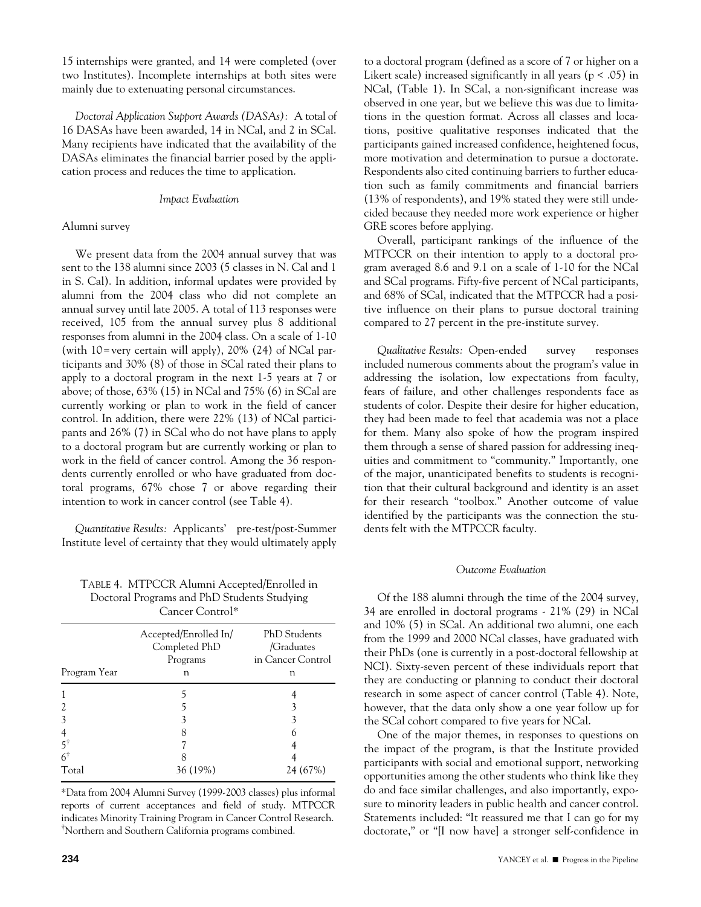15 internships were granted, and 14 were completed (over two Institutes). Incomplete internships at both sites were mainly due to extenuating personal circumstances.

*Doctoral Application Support Awards (DASAs):* A total of 16 DASAs have been awarded, 14 in NCal, and 2 in SCal. Many recipients have indicated that the availability of the DASAs eliminates the financial barrier posed by the application process and reduces the time to application.

#### *Impact Evaluation*

## Alumni survey

We present data from the 2004 annual survey that was sent to the 138 alumni since 2003 (5 classes in N. Cal and 1 in S. Cal). In addition, informal updates were provided by alumni from the 2004 class who did not complete an annual survey until late 2005. A total of 113 responses were received, 105 from the annual survey plus 8 additional responses from alumni in the 2004 class. On a scale of 1-10 (with 10=very certain will apply), 20% (24) of NCal participants and 30% (8) of those in SCal rated their plans to apply to a doctoral program in the next 1-5 years at 7 or above; of those, 63% (15) in NCal and 75% (6) in SCal are currently working or plan to work in the field of cancer control. In addition, there were 22% (13) of NCal participants and 26% (7) in SCal who do not have plans to apply to a doctoral program but are currently working or plan to work in the field of cancer control. Among the 36 respondents currently enrolled or who have graduated from doctoral programs, 67% chose 7 or above regarding their intention to work in cancer control (see Table 4).

*Quantitative Results:* Applicants' pre-test/post-Summer Institute level of certainty that they would ultimately apply

#### TABLE 4. MTPCCR Alumni Accepted/Enrolled in Doctoral Programs and PhD Students Studying Cancer Control\*

| Program Year  | Accepted/Enrolled In/<br>Completed PhD<br>Programs<br>n | PhD Students<br>/Graduates<br>in Cancer Control<br>n |
|---------------|---------------------------------------------------------|------------------------------------------------------|
|               |                                                         |                                                      |
| 2             |                                                         |                                                      |
| 3             | 3                                                       | 3                                                    |
|               | 8                                                       | 6                                                    |
| $5^{\dagger}$ |                                                         |                                                      |
| $6^{\dagger}$ | 8                                                       |                                                      |
| Total         | 36 (19%)                                                | 24 (67%)                                             |

\*Data from 2004 Alumni Survey (1999-2003 classes) plus informal reports of current acceptances and field of study. MTPCCR indicates Minority Training Program in Cancer Control Research. † Northern and Southern California programs combined.

to a doctoral program (defined as a score of 7 or higher on a Likert scale) increased significantly in all years ( $p < .05$ ) in NCal, (Table 1). In SCal, a non-significant increase was observed in one year, but we believe this was due to limitations in the question format. Across all classes and locations, positive qualitative responses indicated that the participants gained increased confidence, heightened focus, more motivation and determination to pursue a doctorate. Respondents also cited continuing barriers to further education such as family commitments and financial barriers (13% of respondents), and 19% stated they were still undecided because they needed more work experience or higher GRE scores before applying.

Overall, participant rankings of the influence of the MTPCCR on their intention to apply to a doctoral program averaged 8.6 and 9.1 on a scale of 1-10 for the NCal and SCal programs. Fifty-five percent of NCal participants, and 68% of SCal, indicated that the MTPCCR had a positive influence on their plans to pursue doctoral training compared to 27 percent in the pre-institute survey.

*Qualitative Results:* Open-ended survey responses included numerous comments about the program's value in addressing the isolation, low expectations from faculty, fears of failure, and other challenges respondents face as students of color. Despite their desire for higher education, they had been made to feel that academia was not a place for them. Many also spoke of how the program inspired them through a sense of shared passion for addressing inequities and commitment to "community." Importantly, one of the major, unanticipated benefits to students is recognition that their cultural background and identity is an asset for their research "toolbox." Another outcome of value identified by the participants was the connection the students felt with the MTPCCR faculty.

#### *Outcome Evaluation*

Of the 188 alumni through the time of the 2004 survey, 34 are enrolled in doctoral programs - 21% (29) in NCal and 10% (5) in SCal. An additional two alumni, one each from the 1999 and 2000 NCal classes, have graduated with their PhDs (one is currently in a post-doctoral fellowship at NCI). Sixty-seven percent of these individuals report that they are conducting or planning to conduct their doctoral research in some aspect of cancer control (Table 4). Note, however, that the data only show a one year follow up for the SCal cohort compared to five years for NCal.

One of the major themes, in responses to questions on the impact of the program, is that the Institute provided participants with social and emotional support, networking opportunities among the other students who think like they do and face similar challenges, and also importantly, exposure to minority leaders in public health and cancer control. Statements included: "It reassured me that I can go for my doctorate," or "[I now have] a stronger self-confidence in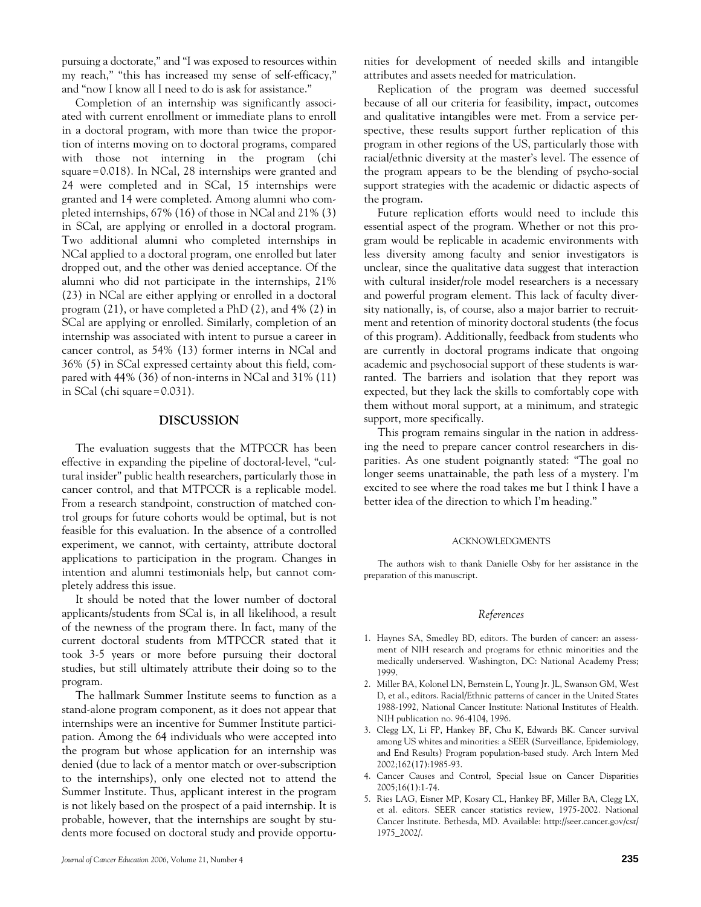pursuing a doctorate," and "I was exposed to resources within my reach," "this has increased my sense of self-efficacy," and "now I know all I need to do is ask for assistance."

Completion of an internship was significantly associated with current enrollment or immediate plans to enroll in a doctoral program, with more than twice the proportion of interns moving on to doctoral programs, compared with those not interning in the program (chi square=0.018). In NCal, 28 internships were granted and 24 were completed and in SCal, 15 internships were granted and 14 were completed. Among alumni who completed internships, 67% (16) of those in NCal and 21% (3) in SCal, are applying or enrolled in a doctoral program. Two additional alumni who completed internships in NCal applied to a doctoral program, one enrolled but later dropped out, and the other was denied acceptance. Of the alumni who did not participate in the internships, 21% (23) in NCal are either applying or enrolled in a doctoral program (21), or have completed a PhD (2), and 4% (2) in SCal are applying or enrolled. Similarly, completion of an internship was associated with intent to pursue a career in cancer control, as 54% (13) former interns in NCal and 36% (5) in SCal expressed certainty about this field, compared with 44% (36) of non-interns in NCal and 31% (11) in SCal (chi square=0.031).

#### **DISCUSSION**

The evaluation suggests that the MTPCCR has been effective in expanding the pipeline of doctoral-level, "cultural insider" public health researchers, particularly those in cancer control, and that MTPCCR is a replicable model. From a research standpoint, construction of matched control groups for future cohorts would be optimal, but is not feasible for this evaluation. In the absence of a controlled experiment, we cannot, with certainty, attribute doctoral applications to participation in the program. Changes in intention and alumni testimonials help, but cannot completely address this issue.

It should be noted that the lower number of doctoral applicants/students from SCal is, in all likelihood, a result of the newness of the program there. In fact, many of the current doctoral students from MTPCCR stated that it took 3-5 years or more before pursuing their doctoral studies, but still ultimately attribute their doing so to the program.

The hallmark Summer Institute seems to function as a stand-alone program component, as it does not appear that internships were an incentive for Summer Institute participation. Among the 64 individuals who were accepted into the program but whose application for an internship was denied (due to lack of a mentor match or over-subscription to the internships), only one elected not to attend the Summer Institute. Thus, applicant interest in the program is not likely based on the prospect of a paid internship. It is probable, however, that the internships are sought by students more focused on doctoral study and provide opportunities for development of needed skills and intangible attributes and assets needed for matriculation.

Replication of the program was deemed successful because of all our criteria for feasibility, impact, outcomes and qualitative intangibles were met. From a service perspective, these results support further replication of this program in other regions of the US, particularly those with racial/ethnic diversity at the master's level. The essence of the program appears to be the blending of psycho-social support strategies with the academic or didactic aspects of the program.

Future replication efforts would need to include this essential aspect of the program. Whether or not this program would be replicable in academic environments with less diversity among faculty and senior investigators is unclear, since the qualitative data suggest that interaction with cultural insider/role model researchers is a necessary and powerful program element. This lack of faculty diversity nationally, is, of course, also a major barrier to recruitment and retention of minority doctoral students (the focus of this program). Additionally, feedback from students who are currently in doctoral programs indicate that ongoing academic and psychosocial support of these students is warranted. The barriers and isolation that they report was expected, but they lack the skills to comfortably cope with them without moral support, at a minimum, and strategic support, more specifically.

This program remains singular in the nation in addressing the need to prepare cancer control researchers in disparities. As one student poignantly stated: "The goal no longer seems unattainable, the path less of a mystery. I'm excited to see where the road takes me but I think I have a better idea of the direction to which I'm heading."

#### ACKNOWLEDGMENTS

The authors wish to thank Danielle Osby for her assistance in the preparation of this manuscript.

#### *References*

- 1. Haynes SA, Smedley BD, editors. The burden of cancer: an assessment of NIH research and programs for ethnic minorities and the medically underserved. Washington, DC: National Academy Press; 1999.
- 2. Miller BA, Kolonel LN, Bernstein L, Young Jr. JL, Swanson GM, West D, et al., editors. Racial/Ethnic patterns of cancer in the United States 1988-1992, National Cancer Institute: National Institutes of Health. NIH publication no. 96-4104, 1996.
- 3. Clegg LX, Li FP, Hankey BF, Chu K, Edwards BK. Cancer survival among US whites and minorities: a SEER (Surveillance, Epidemiology, and End Results) Program population-based study. Arch Intern Med 2002;162(17):1985-93.
- 4. Cancer Causes and Control, Special Issue on Cancer Disparities 2005;16(1):1-74.
- 5. Ries LAG, Eisner MP, Kosary CL, Hankey BF, Miller BA, Clegg LX, et al. editors. SEER cancer statistics review, 1975-2002. National Cancer Institute. Bethesda, MD. Available: http://seer.cancer.gov/csr/ 1975\_2002/.